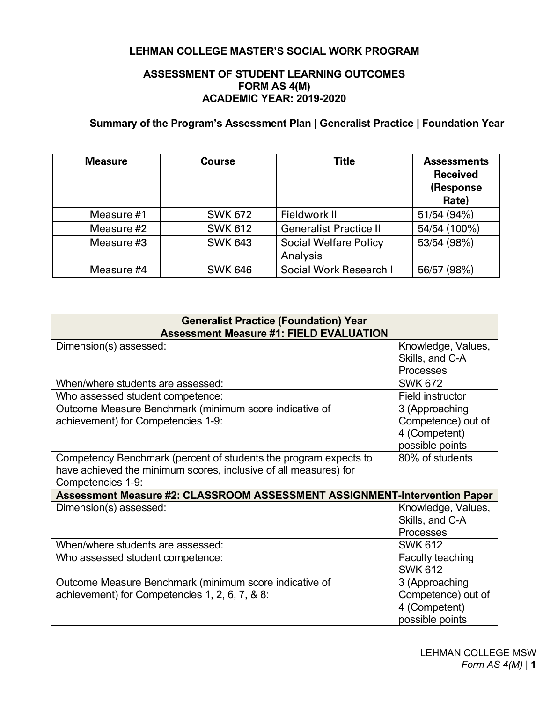## **LEHMAN COLLEGE MASTER'S SOCIAL WORK PROGRAM**

### **ASSESSMENT OF STUDENT LEARNING OUTCOMES FORM AS 4(M) ACADEMIC YEAR: 2019-2020**

# **Summary of the Program's Assessment Plan | Generalist Practice | Foundation Year**

| <b>Measure</b> | <b>Course</b>  | <b>Title</b>                             | <b>Assessments</b><br><b>Received</b><br>(Response<br>Rate) |
|----------------|----------------|------------------------------------------|-------------------------------------------------------------|
| Measure #1     | <b>SWK 672</b> | Fieldwork II                             | 51/54 (94%)                                                 |
| Measure #2     | <b>SWK 612</b> | <b>Generalist Practice II</b>            | 54/54 (100%)                                                |
| Measure #3     | <b>SWK 643</b> | <b>Social Welfare Policy</b><br>Analysis | 53/54 (98%)                                                 |
| Measure #4     | <b>SWK 646</b> | Social Work Research I                   | 56/57 (98%)                                                 |

| <b>Generalist Practice (Foundation) Year</b>                                                                                                              |                                                                          |  |  |  |
|-----------------------------------------------------------------------------------------------------------------------------------------------------------|--------------------------------------------------------------------------|--|--|--|
| <b>Assessment Measure #1: FIELD EVALUATION</b>                                                                                                            |                                                                          |  |  |  |
| Dimension(s) assessed:                                                                                                                                    | Knowledge, Values,<br>Skills, and C-A<br>Processes                       |  |  |  |
| When/where students are assessed:                                                                                                                         | <b>SWK 672</b>                                                           |  |  |  |
| Who assessed student competence:                                                                                                                          | Field instructor                                                         |  |  |  |
| Outcome Measure Benchmark (minimum score indicative of<br>achievement) for Competencies 1-9:                                                              | 3 (Approaching<br>Competence) out of<br>4 (Competent)<br>possible points |  |  |  |
| Competency Benchmark (percent of students the program expects to<br>have achieved the minimum scores, inclusive of all measures) for<br>Competencies 1-9: | 80% of students                                                          |  |  |  |
| Assessment Measure #2: CLASSROOM ASSESSMENT ASSIGNMENT-Intervention Paper                                                                                 |                                                                          |  |  |  |
| Dimension(s) assessed:                                                                                                                                    | Knowledge, Values,<br>Skills, and C-A<br><b>Processes</b>                |  |  |  |
| When/where students are assessed:                                                                                                                         | <b>SWK 612</b>                                                           |  |  |  |
| Who assessed student competence:                                                                                                                          | Faculty teaching<br><b>SWK 612</b>                                       |  |  |  |
| Outcome Measure Benchmark (minimum score indicative of<br>achievement) for Competencies 1, 2, 6, 7, & 8:                                                  | 3 (Approaching<br>Competence) out of<br>4 (Competent)<br>possible points |  |  |  |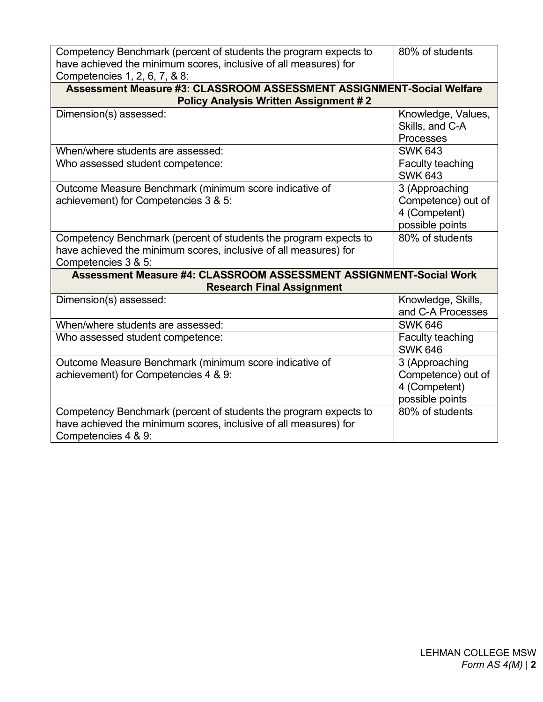| Competency Benchmark (percent of students the program expects to                                                      | 80% of students                    |  |  |  |  |
|-----------------------------------------------------------------------------------------------------------------------|------------------------------------|--|--|--|--|
| have achieved the minimum scores, inclusive of all measures) for                                                      |                                    |  |  |  |  |
| Competencies 1, 2, 6, 7, & 8:                                                                                         |                                    |  |  |  |  |
| Assessment Measure #3: CLASSROOM ASSESSMENT ASSIGNMENT-Social Welfare<br><b>Policy Analysis Written Assignment #2</b> |                                    |  |  |  |  |
| Dimension(s) assessed:                                                                                                | Knowledge, Values,                 |  |  |  |  |
|                                                                                                                       | Skills, and C-A                    |  |  |  |  |
|                                                                                                                       | Processes                          |  |  |  |  |
| When/where students are assessed:                                                                                     | <b>SWK 643</b>                     |  |  |  |  |
| Who assessed student competence:                                                                                      | Faculty teaching<br><b>SWK 643</b> |  |  |  |  |
| Outcome Measure Benchmark (minimum score indicative of                                                                | 3 (Approaching                     |  |  |  |  |
| achievement) for Competencies 3 & 5:                                                                                  | Competence) out of                 |  |  |  |  |
|                                                                                                                       | 4 (Competent)                      |  |  |  |  |
|                                                                                                                       | possible points                    |  |  |  |  |
| Competency Benchmark (percent of students the program expects to                                                      | 80% of students                    |  |  |  |  |
| have achieved the minimum scores, inclusive of all measures) for                                                      |                                    |  |  |  |  |
| Competencies 3 & 5:                                                                                                   |                                    |  |  |  |  |
| Assessment Measure #4: CLASSROOM ASSESSMENT ASSIGNMENT-Social Work                                                    |                                    |  |  |  |  |
| <b>Research Final Assignment</b>                                                                                      |                                    |  |  |  |  |
| Dimension(s) assessed:                                                                                                | Knowledge, Skills,                 |  |  |  |  |
|                                                                                                                       | and C-A Processes                  |  |  |  |  |
| When/where students are assessed:                                                                                     | <b>SWK 646</b>                     |  |  |  |  |
| Who assessed student competence:                                                                                      | Faculty teaching<br><b>SWK 646</b> |  |  |  |  |
| Outcome Measure Benchmark (minimum score indicative of                                                                | 3 (Approaching                     |  |  |  |  |
| achievement) for Competencies 4 & 9:                                                                                  | Competence) out of                 |  |  |  |  |
|                                                                                                                       | 4 (Competent)                      |  |  |  |  |
|                                                                                                                       | possible points                    |  |  |  |  |
| Competency Benchmark (percent of students the program expects to                                                      | 80% of students                    |  |  |  |  |
| have achieved the minimum scores, inclusive of all measures) for                                                      |                                    |  |  |  |  |
| Competencies 4 & 9:                                                                                                   |                                    |  |  |  |  |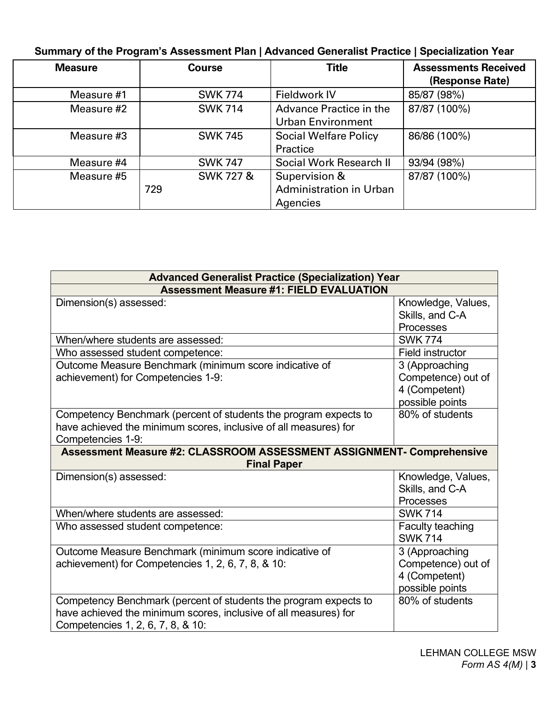# **Summary of the Program's Assessment Plan | Advanced Generalist Practice | Specialization Year**

| <b>Measure</b> | <b>Course</b>        | <b>Title</b>                   | <b>Assessments Received</b> |
|----------------|----------------------|--------------------------------|-----------------------------|
|                |                      |                                | (Response Rate)             |
| Measure #1     | <b>SWK 774</b>       | <b>Fieldwork IV</b>            | 85/87 (98%)                 |
| Measure #2     | <b>SWK 714</b>       | <b>Advance Practice in the</b> | 87/87 (100%)                |
|                |                      | <b>Urban Environment</b>       |                             |
| Measure #3     | <b>SWK 745</b>       | <b>Social Welfare Policy</b>   | 86/86 (100%)                |
|                |                      | Practice                       |                             |
| Measure #4     | <b>SWK 747</b>       | Social Work Research II        | 93/94 (98%)                 |
| Measure #5     | <b>SWK 727 &amp;</b> | Supervision &                  | 87/87 (100%)                |
|                | 729                  | <b>Administration in Urban</b> |                             |
|                |                      | Agencies                       |                             |

| <b>Advanced Generalist Practice (Specialization) Year</b>                                                                                                                 |                                                                          |  |  |  |
|---------------------------------------------------------------------------------------------------------------------------------------------------------------------------|--------------------------------------------------------------------------|--|--|--|
| <b>Assessment Measure #1: FIELD EVALUATION</b>                                                                                                                            |                                                                          |  |  |  |
| Dimension(s) assessed:                                                                                                                                                    | Knowledge, Values,<br>Skills, and C-A<br>Processes                       |  |  |  |
| When/where students are assessed:                                                                                                                                         | <b>SWK 774</b>                                                           |  |  |  |
| Who assessed student competence:                                                                                                                                          | Field instructor                                                         |  |  |  |
| Outcome Measure Benchmark (minimum score indicative of<br>achievement) for Competencies 1-9:                                                                              | 3 (Approaching<br>Competence) out of<br>4 (Competent)<br>possible points |  |  |  |
| Competency Benchmark (percent of students the program expects to<br>have achieved the minimum scores, inclusive of all measures) for<br>Competencies 1-9:                 | 80% of students                                                          |  |  |  |
| Assessment Measure #2: CLASSROOM ASSESSMENT ASSIGNMENT- Comprehensive<br><b>Final Paper</b>                                                                               |                                                                          |  |  |  |
| Dimension(s) assessed:                                                                                                                                                    | Knowledge, Values,<br>Skills, and C-A<br>Processes                       |  |  |  |
| When/where students are assessed:                                                                                                                                         | <b>SWK 714</b>                                                           |  |  |  |
| Who assessed student competence:                                                                                                                                          | Faculty teaching<br><b>SWK 714</b>                                       |  |  |  |
| Outcome Measure Benchmark (minimum score indicative of<br>achievement) for Competencies 1, 2, 6, 7, 8, & 10:                                                              | 3 (Approaching<br>Competence) out of<br>4 (Competent)<br>possible points |  |  |  |
| Competency Benchmark (percent of students the program expects to<br>have achieved the minimum scores, inclusive of all measures) for<br>Competencies 1, 2, 6, 7, 8, & 10: | 80% of students                                                          |  |  |  |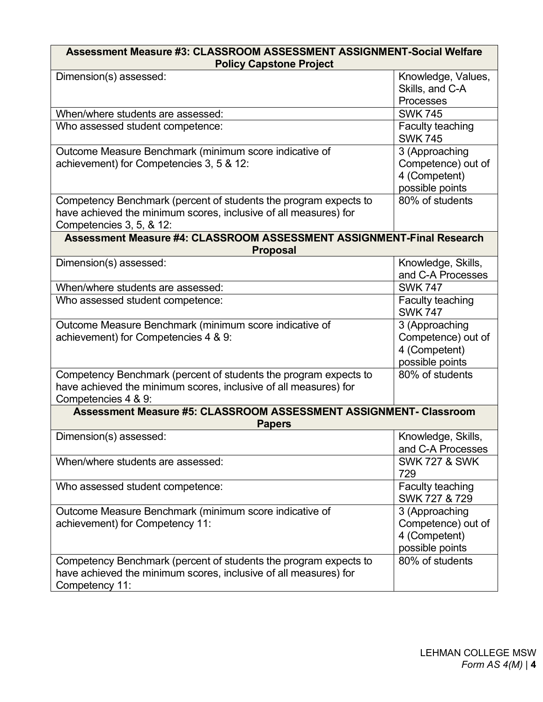| Assessment Measure #3: CLASSROOM ASSESSMENT ASSIGNMENT-Social Welfare |                          |  |  |  |  |
|-----------------------------------------------------------------------|--------------------------|--|--|--|--|
| <b>Policy Capstone Project</b>                                        |                          |  |  |  |  |
| Dimension(s) assessed:                                                | Knowledge, Values,       |  |  |  |  |
|                                                                       | Skills, and C-A          |  |  |  |  |
|                                                                       | Processes                |  |  |  |  |
| When/where students are assessed:                                     | <b>SWK 745</b>           |  |  |  |  |
| Who assessed student competence:                                      | Faculty teaching         |  |  |  |  |
|                                                                       | <b>SWK 745</b>           |  |  |  |  |
| Outcome Measure Benchmark (minimum score indicative of                | 3 (Approaching           |  |  |  |  |
| achievement) for Competencies 3, 5 & 12:                              | Competence) out of       |  |  |  |  |
|                                                                       | 4 (Competent)            |  |  |  |  |
|                                                                       | possible points          |  |  |  |  |
| Competency Benchmark (percent of students the program expects to      | 80% of students          |  |  |  |  |
| have achieved the minimum scores, inclusive of all measures) for      |                          |  |  |  |  |
| Competencies 3, 5, & 12:                                              |                          |  |  |  |  |
| Assessment Measure #4: CLASSROOM ASSESSMENT ASSIGNMENT-Final Research |                          |  |  |  |  |
| <b>Proposal</b>                                                       |                          |  |  |  |  |
| Dimension(s) assessed:                                                | Knowledge, Skills,       |  |  |  |  |
|                                                                       | and C-A Processes        |  |  |  |  |
| When/where students are assessed:                                     | <b>SWK 747</b>           |  |  |  |  |
| Who assessed student competence:                                      | Faculty teaching         |  |  |  |  |
|                                                                       | <b>SWK 747</b>           |  |  |  |  |
| Outcome Measure Benchmark (minimum score indicative of                | 3 (Approaching           |  |  |  |  |
| achievement) for Competencies 4 & 9:                                  | Competence) out of       |  |  |  |  |
|                                                                       | 4 (Competent)            |  |  |  |  |
|                                                                       | possible points          |  |  |  |  |
| Competency Benchmark (percent of students the program expects to      | 80% of students          |  |  |  |  |
| have achieved the minimum scores, inclusive of all measures) for      |                          |  |  |  |  |
| Competencies 4 & 9:                                                   |                          |  |  |  |  |
| Assessment Measure #5: CLASSROOM ASSESSMENT ASSIGNMENT- Classroom     |                          |  |  |  |  |
| <b>Papers</b>                                                         |                          |  |  |  |  |
| Dimension(s) assessed:                                                | Knowledge, Skills,       |  |  |  |  |
|                                                                       | and C-A Processes        |  |  |  |  |
| When/where students are assessed:                                     | <b>SWK 727 &amp; SWK</b> |  |  |  |  |
|                                                                       | 729                      |  |  |  |  |
| Who assessed student competence:                                      | Faculty teaching         |  |  |  |  |
|                                                                       | SWK 727 & 729            |  |  |  |  |
| Outcome Measure Benchmark (minimum score indicative of                | 3 (Approaching           |  |  |  |  |
| achievement) for Competency 11:                                       | Competence) out of       |  |  |  |  |
|                                                                       | 4 (Competent)            |  |  |  |  |
|                                                                       | possible points          |  |  |  |  |
| Competency Benchmark (percent of students the program expects to      | 80% of students          |  |  |  |  |
| have achieved the minimum scores, inclusive of all measures) for      |                          |  |  |  |  |
| Competency 11:                                                        |                          |  |  |  |  |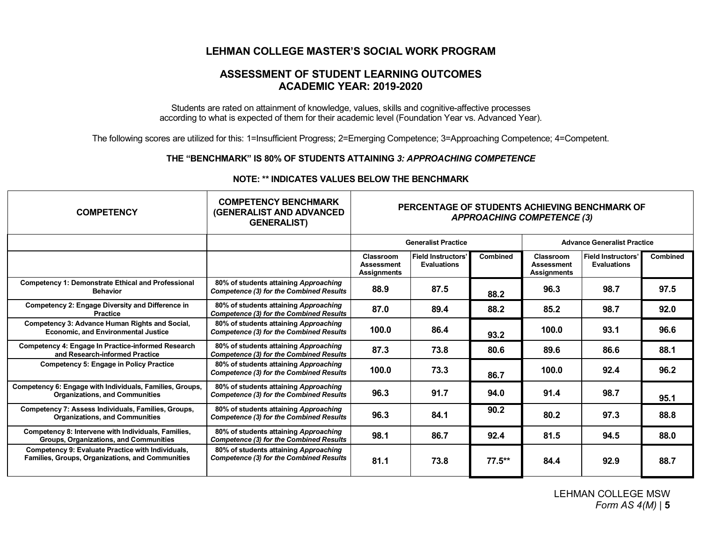## **LEHMAN COLLEGE MASTER'S SOCIAL WORK PROGRAM**

### **ASSESSMENT OF STUDENT LEARNING OUTCOMES ACADEMIC YEAR: 2019-2020**

Students are rated on attainment of knowledge, values, skills and cognitive-affective processes according to what is expected of them for their academic level (Foundation Year vs. Advanced Year).

The following scores are utilized for this: 1=Insufficient Progress; 2=Emerging Competence; 3=Approaching Competence; 4=Competent.

#### **THE "BENCHMARK" IS 80% OF STUDENTS ATTAINING** *3: APPROACHING COMPETENCE*

| <b>COMPETENCY</b>                                                                                            | <b>COMPETENCY BENCHMARK</b><br><b>(GENERALIST AND ADVANCED)</b><br><b>GENERALIST)</b>   | PERCENTAGE OF STUDENTS ACHIEVING BENCHMARK OF<br><b>APPROACHING COMPETENCE (3)</b> |                                                 |                                    |                                                      |                                                 |                 |
|--------------------------------------------------------------------------------------------------------------|-----------------------------------------------------------------------------------------|------------------------------------------------------------------------------------|-------------------------------------------------|------------------------------------|------------------------------------------------------|-------------------------------------------------|-----------------|
|                                                                                                              |                                                                                         | <b>Generalist Practice</b>                                                         |                                                 | <b>Advance Generalist Practice</b> |                                                      |                                                 |                 |
|                                                                                                              |                                                                                         | Classroom<br><b>Assessment</b><br><b>Assignments</b>                               | <b>Field Instructors'</b><br><b>Evaluations</b> | <b>Combined</b>                    | Classroom<br><b>Assessment</b><br><b>Assignments</b> | <b>Field Instructors'</b><br><b>Evaluations</b> | <b>Combined</b> |
| <b>Competency 1: Demonstrate Ethical and Professional</b><br><b>Behavior</b>                                 | 80% of students attaining Approaching<br><b>Competence (3) for the Combined Results</b> | 88.9                                                                               | 87.5                                            | 88.2                               | 96.3                                                 | 98.7                                            | 97.5            |
| <b>Competency 2: Engage Diversity and Difference in</b><br><b>Practice</b>                                   | 80% of students attaining Approaching<br><b>Competence (3) for the Combined Results</b> | 87.0                                                                               | 89.4                                            | 88.2                               | 85.2                                                 | 98.7                                            | 92.0            |
| <b>Competency 3: Advance Human Rights and Social,</b><br><b>Economic, and Environmental Justice</b>          | 80% of students attaining Approaching<br><b>Competence (3) for the Combined Results</b> | 100.0                                                                              | 86.4                                            | 93.2                               | 100.0                                                | 93.1                                            | 96.6            |
| <b>Competency 4: Engage In Practice-informed Research</b><br>and Research-informed Practice                  | 80% of students attaining Approaching<br><b>Competence (3) for the Combined Results</b> | 87.3                                                                               | 73.8                                            | 80.6                               | 89.6                                                 | 86.6                                            | 88.1            |
| <b>Competency 5: Engage in Policy Practice</b>                                                               | 80% of students attaining Approaching<br><b>Competence (3) for the Combined Results</b> | 100.0                                                                              | 73.3                                            | 86.7                               | 100.0                                                | 92.4                                            | 96.2            |
| Competency 6: Engage with Individuals, Families, Groups,<br><b>Organizations, and Communities</b>            | 80% of students attaining Approaching<br><b>Competence (3) for the Combined Results</b> | 96.3                                                                               | 91.7                                            | 94.0                               | 91.4                                                 | 98.7                                            | 95.1            |
| <b>Competency 7: Assess Individuals, Families, Groups,</b><br><b>Organizations, and Communities</b>          | 80% of students attaining Approaching<br><b>Competence (3) for the Combined Results</b> | 96.3                                                                               | 84.1                                            | 90.2                               | 80.2                                                 | 97.3                                            | 88.8            |
| Competency 8: Intervene with Individuals, Families,<br><b>Groups, Organizations, and Communities</b>         | 80% of students attaining Approaching<br><b>Competence (3) for the Combined Results</b> | 98.1                                                                               | 86.7                                            | 92.4                               | 81.5                                                 | 94.5                                            | 88.0            |
| Competency 9: Evaluate Practice with Individuals,<br><b>Families, Groups, Organizations, and Communities</b> | 80% of students attaining Approaching<br><b>Competence (3) for the Combined Results</b> | 81.1                                                                               | 73.8                                            | $77.5***$                          | 84.4                                                 | 92.9                                            | 88.7            |

#### **NOTE: \*\* INDICATES VALUES BELOW THE BENCHMARK**

LEHMAN COLLEGE MSW *Form AS 4(M)* | **5**